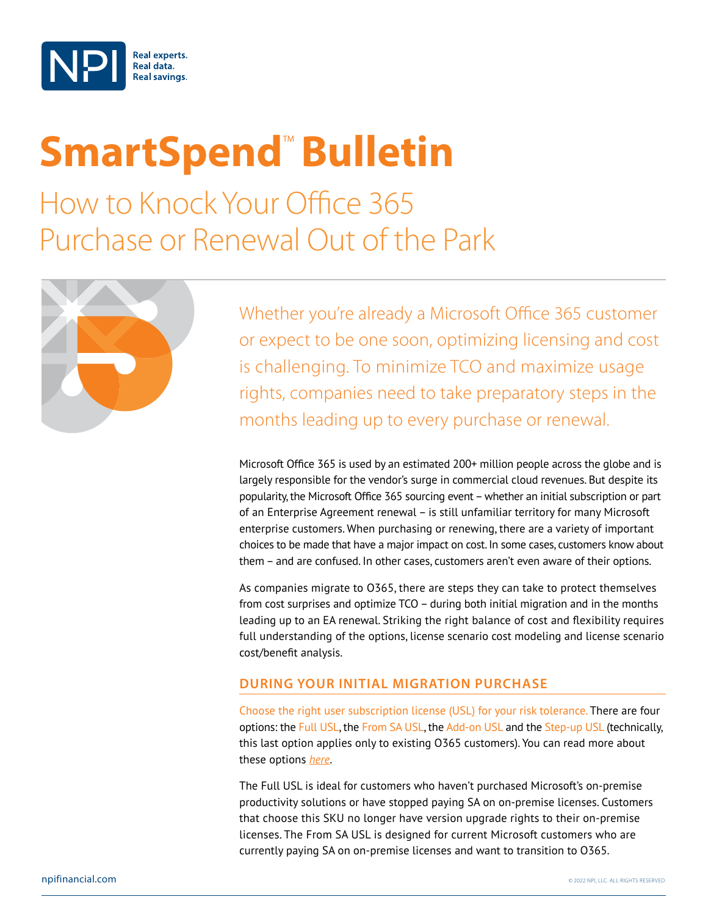

# **SmartSpend<sup>™</sup> Bulletin**

How to Knock Your Office 365 Purchase or Renewal Out of the Park



Whether you're already a Microsoft Office 365 customer or expect to be one soon, optimizing licensing and cost is challenging. To minimize TCO and maximize usage rights, companies need to take preparatory steps in the months leading up to every purchase or renewal.

Microsoft Office 365 is used by an estimated 200+ million people across the globe and is largely responsible for the vendor's surge in commercial cloud revenues. But despite its popularity, the Microsoft Office 365 sourcing event – whether an initial subscription or part of an Enterprise Agreement renewal – is still unfamiliar territory for many Microsoft enterprise customers. When purchasing or renewing, there are a variety of important choices to be made that have a major impact on cost. In some cases, customers know about them – and are confused. In other cases, customers aren't even aware of their options.

As companies migrate to O365, there are steps they can take to protect themselves from cost surprises and optimize TCO – during both initial migration and in the months leading up to an EA renewal. Striking the right balance of cost and flexibility requires full understanding of the options, license scenario cost modeling and license scenario cost/benefit analysis.

## **DURING YOUR INITIAL MIGRATION PURCHASE**

Choose the right user subscription license (USL) for your risk tolerance. There are four options: the Full USL, the From SA USL, the Add-on USL and the Step-up USL (technically, this last option applies only to existing O365 customers). You can read more about these options *[here](http://download.microsoft.com/download/1/F/5/1F5357DD-F7C8-4CC8-8C5F-7F6B1569ECF0/Office365-Licensing-Guide.pdf)*.

The Full USL is ideal for customers who haven't purchased Microsoft's on-premise productivity solutions or have stopped paying SA on on-premise licenses. Customers that choose this SKU no longer have version upgrade rights to their on-premise licenses. The From SA USL is designed for current Microsoft customers who are currently paying SA on on-premise licenses and want to transition to O365.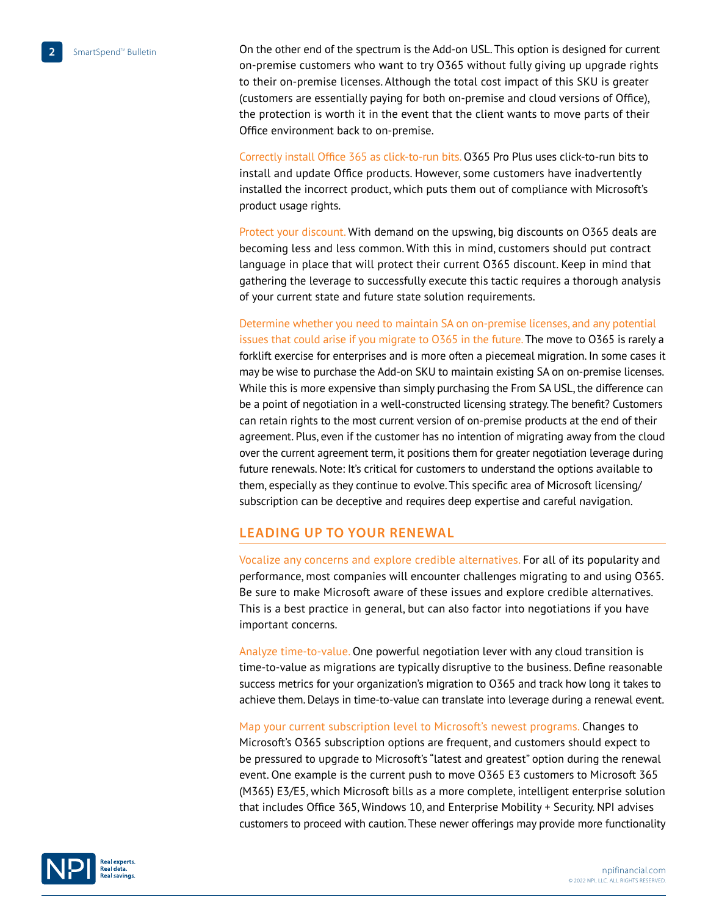On the other end of the spectrum is the Add-on USL. This option is designed for current on-premise customers who want to try O365 without fully giving up upgrade rights to their on-premise licenses. Although the total cost impact of this SKU is greater (customers are essentially paying for both on-premise and cloud versions of Office), the protection is worth it in the event that the client wants to move parts of their Office environment back to on-premise.

Correctly install Office 365 as click-to-run bits. O365 Pro Plus uses click-to-run bits to install and update Office products. However, some customers have inadvertently installed the incorrect product, which puts them out of compliance with Microsoft's product usage rights.

Protect your discount. With demand on the upswing, big discounts on O365 deals are becoming less and less common. With this in mind, customers should put contract language in place that will protect their current O365 discount. Keep in mind that gathering the leverage to successfully execute this tactic requires a thorough analysis of your current state and future state solution requirements.

Determine whether you need to maintain SA on on-premise licenses, and any potential issues that could arise if you migrate to O365 in the future. The move to O365 is rarely a forklift exercise for enterprises and is more often a piecemeal migration. In some cases it may be wise to purchase the Add-on SKU to maintain existing SA on on-premise licenses. While this is more expensive than simply purchasing the From SA USL, the difference can be a point of negotiation in a well-constructed licensing strategy. The benefit? Customers can retain rights to the most current version of on-premise products at the end of their agreement. Plus, even if the customer has no intention of migrating away from the cloud over the current agreement term, it positions them for greater negotiation leverage during future renewals. Note: It's critical for customers to understand the options available to them, especially as they continue to evolve. This specific area of Microsoft licensing/ subscription can be deceptive and requires deep expertise and careful navigation.

#### **LEADING UP TO YOUR RENEWAL**

Vocalize any concerns and explore credible alternatives. For all of its popularity and performance, most companies will encounter challenges migrating to and using O365. Be sure to make Microsoft aware of these issues and explore credible alternatives. This is a best practice in general, but can also factor into negotiations if you have important concerns.

Analyze time-to-value. One powerful negotiation lever with any cloud transition is time-to-value as migrations are typically disruptive to the business. Define reasonable success metrics for your organization's migration to O365 and track how long it takes to achieve them. Delays in time-to-value can translate into leverage during a renewal event.

Map your current subscription level to Microsoft's newest programs. Changes to Microsoft's O365 subscription options are frequent, and customers should expect to be pressured to upgrade to Microsoft's "latest and greatest" option during the renewal event. One example is the current push to move O365 E3 customers to Microsoft 365 (M365) E3/E5, which Microsoft bills as a more complete, intelligent enterprise solution that includes Office 365, Windows 10, and Enterprise Mobility + Security. NPI advises customers to proceed with caution. These newer offerings may provide more functionality